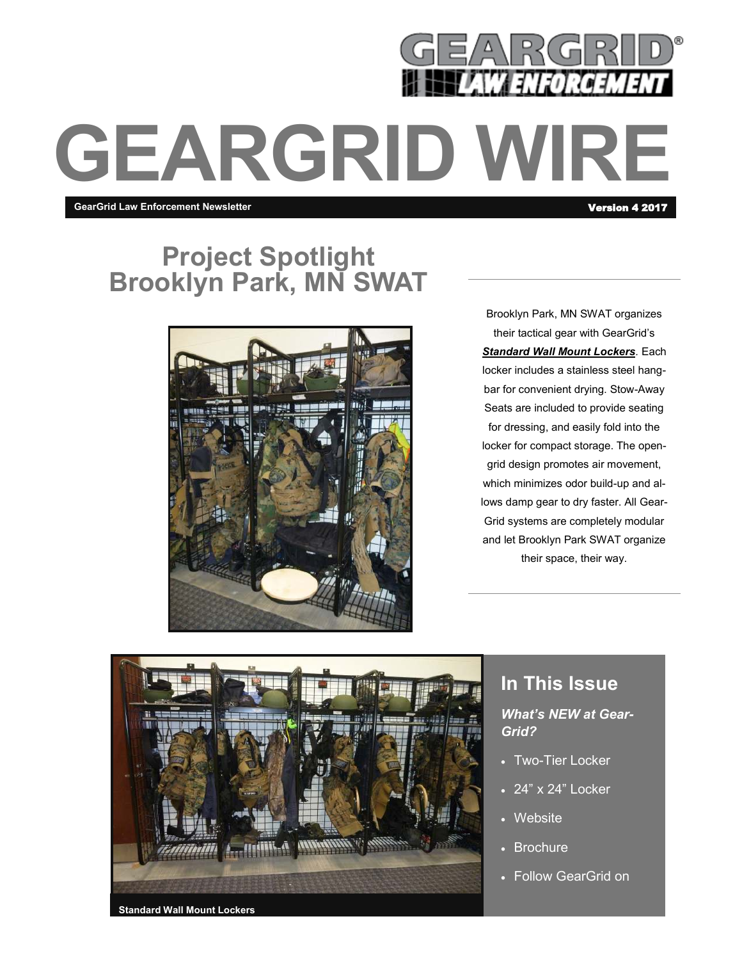

#### **GearGrid Law Enforcement Newsletter**

**Project Spotlight Brooklyn Park, MN SWAT**



Brooklyn Park, MN SWAT organizes their tactical gear with GearGrid's **[Standard Wall Mount Lockers](https://geargrid.com/product/wall-mount-lockers-2/)**. Each locker includes a stainless steel hangbar for convenient drying. Stow-Away Seats are included to provide seating for dressing, and easily fold into the locker for compact storage. The opengrid design promotes air movement, which minimizes odor build-up and allows damp gear to dry faster. All Gear-Grid systems are completely modular and let Brooklyn Park SWAT organize their space, their way.



## **In This Issue**

*What's NEW at Gear-Grid?*

- Two-Tier Locker
- 24" x 24" Locker
- **Website**
- Brochure
- Follow GearGrid on

**Standard Wall Mount Lockers**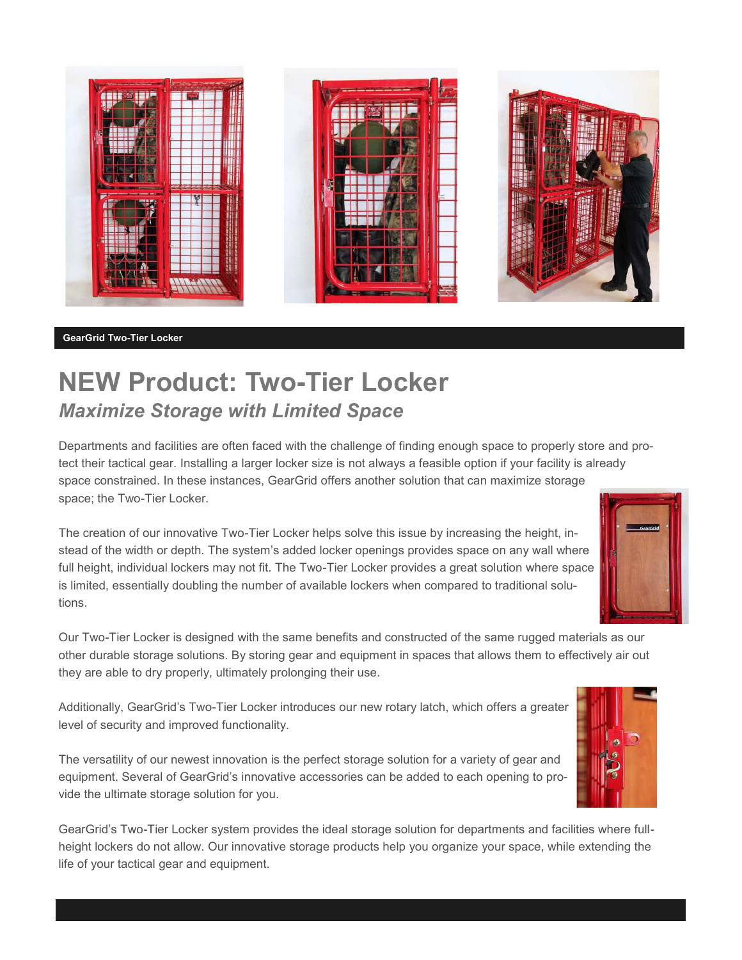

### **GearGrid Two-Tier Locker**

# **NEW Product: Two-Tier Locker** *Maximize Storage with Limited Space*

Departments and facilities are often faced with the challenge of finding enough space to properly store and protect their tactical gear. Installing a larger locker size is not always a feasible option if your facility is already space constrained. In these instances, GearGrid offers another solution that can maximize storage space; the Two-Tier Locker.

The creation of our innovative Two-Tier Locker helps solve this issue by increasing the height, instead of the width or depth. The system's added locker openings provides space on any wall where full height, individual lockers may not fit. The Two-Tier Locker provides a great solution where space is limited, essentially doubling the number of available lockers when compared to traditional solutions.



Our Two-Tier Locker is designed with the same benefits and constructed of the same rugged materials as our other durable storage solutions. By storing gear and equipment in spaces that allows them to effectively air out they are able to dry properly, ultimately prolonging their use.

Additionally, GearGrid's Two-Tier Locker introduces our new rotary latch, which offers a greater level of security and improved functionality.

The versatility of our newest innovation is the perfect storage solution for a variety of gear and equipment. Several of GearGrid's innovative accessories can be added to each opening to provide the ultimate storage solution for you.

GearGrid's Two-Tier Locker system provides the ideal storage solution for departments and facilities where fullheight lockers do not allow. Our innovative storage products help you organize your space, while extending the life of your tactical gear and equipment.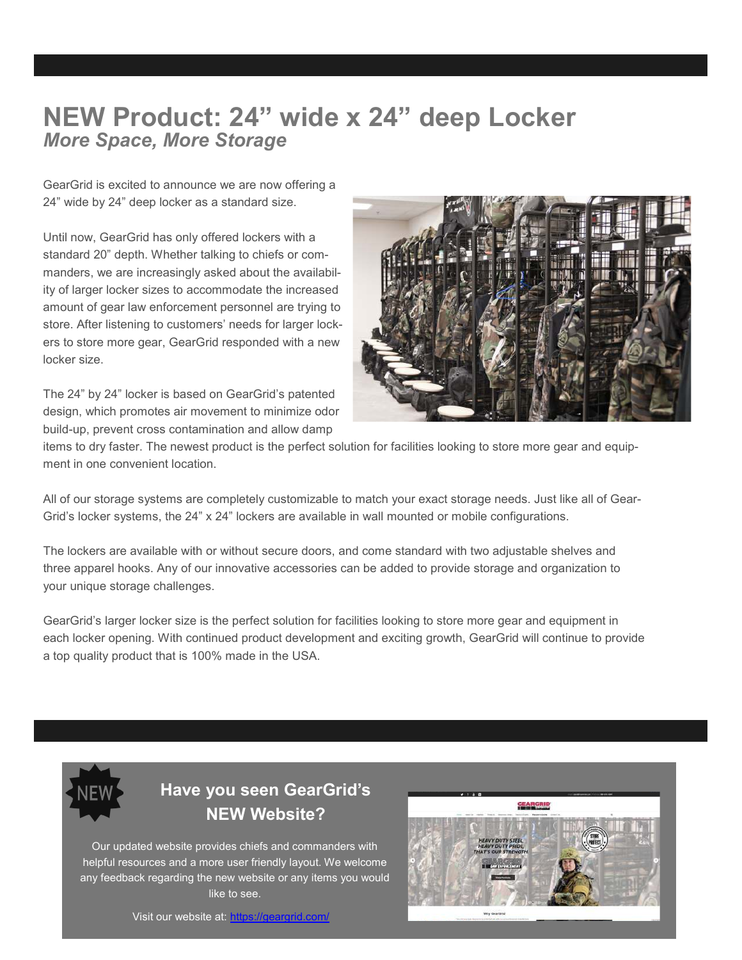## **NEW Product: 24" wide x 24" deep Locker** *More Space, More Storage*

GearGrid is excited to announce we are now offering a 24" wide by 24" deep locker as a standard size.

Until now, GearGrid has only offered lockers with a standard 20" depth. Whether talking to chiefs or commanders, we are increasingly asked about the availability of larger locker sizes to accommodate the increased amount of gear law enforcement personnel are trying to store. After listening to customers' needs for larger lockers to store more gear, GearGrid responded with a new locker size.

The 24" by 24" locker is based on GearGrid's patented design, which promotes air movement to minimize odor build-up, prevent cross contamination and allow damp



items to dry faster. The newest product is the perfect solution for facilities looking to store more gear and equipment in one convenient location.

All of our storage systems are completely customizable to match your exact storage needs. Just like all of Gear-Grid's locker systems, the  $24" \times 24"$  lockers are available in wall mounted or mobile configurations.

The lockers are available with or without secure doors, and come standard with two adjustable shelves and three apparel hooks. Any of our innovative accessories can be added to provide storage and organization to your unique storage challenges.

GearGrid's larger locker size is the perfect solution for facilities looking to store more gear and equipment in each locker opening. With continued product development and exciting growth, GearGrid will continue to provide a top quality product that is 100% made in the USA.



## **Have you seen GearGrid's NEW Website?**

Our updated website provides chiefs and commanders with helpful resources and a more user friendly layout. We welcome any feedback regarding the new website or any items you would like to see.



Visit our website at: <https://geargrid.com/>